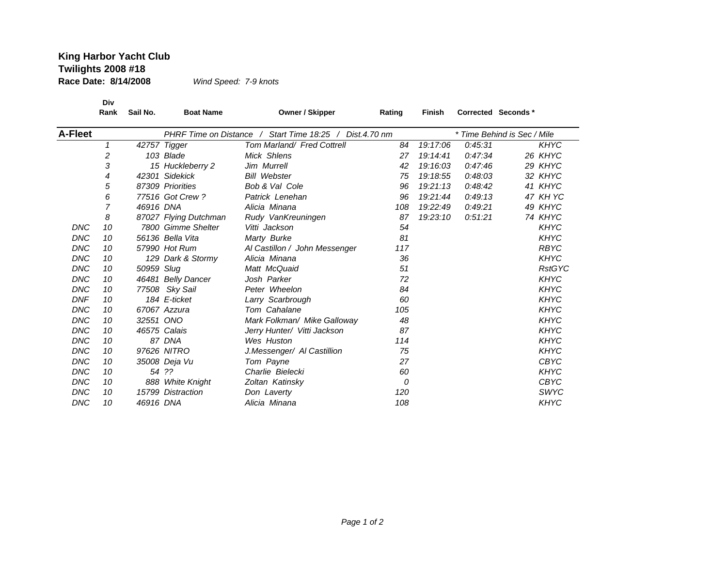## **King Harbor Yacht Club Twilights 2008 #18 Race Date: 8/14/2008**

*Wind Speed: 7-9 knots*

**Div**Rank Sail No.

**Rank Sail No. Boat Name Owner / Skipper Rating Finish Corrected Seconds \***

| <b>A-Fleet</b> |    |            |                       | PHRF Time on Distance / Start Time 18:25 / Dist.4.70 nm | * Time Behind is Sec / Mile |          |         |               |
|----------------|----|------------|-----------------------|---------------------------------------------------------|-----------------------------|----------|---------|---------------|
|                | 1  |            | 42757 Tigger          | Tom Marland/ Fred Cottrell                              | 84                          | 19:17:06 | 0:45:31 | <b>KHYC</b>   |
|                | 2  |            | 103 Blade             | Mick Shlens                                             | 27                          | 19:14:41 | 0.47.34 | 26 KHYC       |
|                | 3  |            | 15 Huckleberry 2      | Jim Murrell                                             | 42                          | 19:16:03 | 0.47:46 | 29 KHYC       |
|                | 4  |            | 42301 Sidekick        | <b>Bill Webster</b>                                     | 75                          | 19:18:55 | 0.48:03 | 32 KHYC       |
|                | 5  |            | 87309 Priorities      | <b>Bob &amp; Val Cole</b>                               | 96                          | 19:21:13 | 0:48:42 | 41 KHYC       |
|                | 6  |            | 77516 Got Crew?       | Patrick Lenehan                                         | 96                          | 19:21:44 | 0:49:13 | 47 KH YC      |
|                | 7  | 46916 DNA  |                       | Alicia Minana                                           | 108                         | 19:22:49 | 0:49:21 | 49 KHYC       |
|                | 8  |            | 87027 Flying Dutchman | Rudy VanKreuningen                                      | 87                          | 19:23:10 | 0:51:21 | 74 KHYC       |
| <b>DNC</b>     | 10 |            | 7800 Gimme Shelter    | Vitti Jackson                                           | 54                          |          |         | <b>KHYC</b>   |
| <b>DNC</b>     | 10 |            | 56136 Bella Vita      | Marty Burke                                             | 81                          |          |         | <b>KHYC</b>   |
| <b>DNC</b>     | 10 |            | 57990 Hot Rum         | Al Castillon / John Messenger                           | 117                         |          |         | <b>RBYC</b>   |
| <b>DNC</b>     | 10 |            | 129 Dark & Stormy     | Alicia Minana                                           | 36                          |          |         | <b>KHYC</b>   |
| <b>DNC</b>     | 10 | 50959 Slug |                       | Matt McQuaid                                            | 51                          |          |         | <b>RstGYC</b> |
| <b>DNC</b>     | 10 |            | 46481 Belly Dancer    | Josh Parker                                             | 72                          |          |         | <b>KHYC</b>   |
| DNC            | 10 |            | 77508 Sky Sail        | Peter Wheelon                                           | 84                          |          |         | <b>KHYC</b>   |
| <b>DNF</b>     | 10 |            | 184 E-ticket          | Larry Scarbrough                                        | 60                          |          |         | <b>KHYC</b>   |
| <b>DNC</b>     | 10 |            | 67067 Azzura          | Tom Cahalane                                            | 105                         |          |         | <b>KHYC</b>   |
| <b>DNC</b>     | 10 | 32551 ONO  |                       | Mark Folkman/ Mike Galloway                             | 48                          |          |         | <b>KHYC</b>   |
| <b>DNC</b>     | 10 |            | 46575 Calais          | Jerry Hunter/ Vitti Jackson                             | 87                          |          |         | <b>KHYC</b>   |
| <b>DNC</b>     | 10 |            | 87 DNA                | Wes Huston                                              | 114                         |          |         | <b>KHYC</b>   |
| <b>DNC</b>     | 10 |            | 97626 NITRO           | J.Messenger/ Al Castillion                              | 75                          |          |         | <b>KHYC</b>   |
| DNC            | 10 |            | 35008 Deja Vu         | Tom Payne                                               | 27                          |          |         | <b>CBYC</b>   |
| DNC            | 10 |            | 54 ??                 | Charlie Bielecki                                        | 60                          |          |         | <b>KHYC</b>   |
| <b>DNC</b>     | 10 |            | 888 White Knight      | Zoltan Katinsky                                         | 0                           |          |         | <b>CBYC</b>   |
| DNC            | 10 |            | 15799 Distraction     | Don Laverty                                             | 120                         |          |         | <b>SWYC</b>   |
| <b>DNC</b>     | 10 | 46916 DNA  |                       | Alicia Minana                                           | 108                         |          |         | <b>KHYC</b>   |